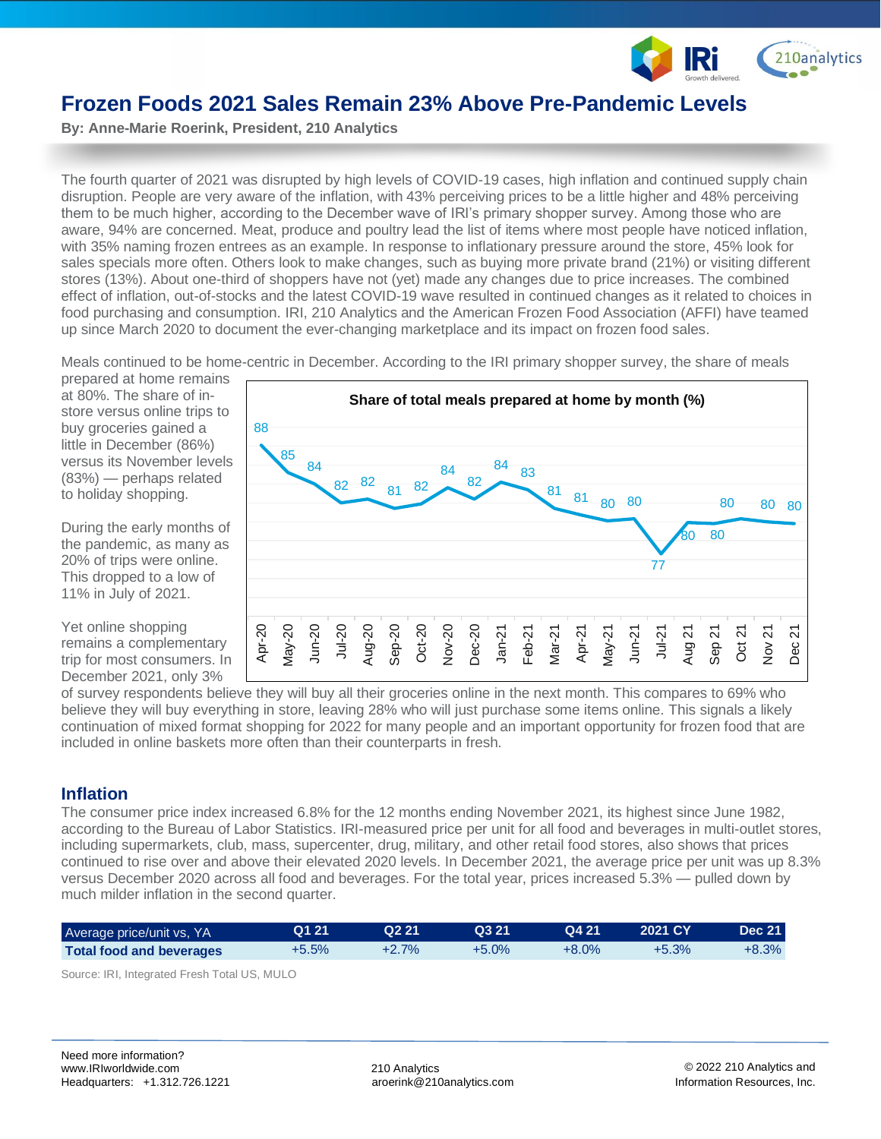

# **Frozen Foods 2021 Sales Remain 23% Above Pre-Pandemic Levels**

**By: Anne-Marie Roerink, President, 210 Analytics** 

The fourth quarter of 2021 was disrupted by high levels of COVID-19 cases, high inflation and continued supply chain disruption. People are very aware of the inflation, with 43% perceiving prices to be a little higher and 48% perceiving them to be much higher, according to the December wave of IRI's primary shopper survey. Among those who are aware, 94% are concerned. Meat, produce and poultry lead the list of items where most people have noticed inflation, with 35% naming frozen entrees as an example. In response to inflationary pressure around the store, 45% look for sales specials more often. Others look to make changes, such as buying more private brand (21%) or visiting different stores (13%). About one-third of shoppers have not (yet) made any changes due to price increases. The combined effect of inflation, out-of-stocks and the latest COVID-19 wave resulted in continued changes as it related to choices in food purchasing and consumption. IRI, 210 Analytics and the American Frozen Food Association (AFFI) have teamed up since March 2020 to document the ever-changing marketplace and its impact on frozen food sales.

Meals continued to be home-centric in December. According to the IRI primary shopper survey, the share of meals

prepared at home remains at 80%. The share of instore versus online trips to buy groceries gained a little in December (86%) versus its November levels (83%) — perhaps related to holiday shopping.

During the early months of the pandemic, as many as 20% of trips were online. This dropped to a low of 11% in July of 2021.

Yet online shopping remains a complementary trip for most consumers. In December 2021, only 3%



of survey respondents believe they will buy all their groceries online in the next month. This compares to 69% who believe they will buy everything in store, leaving 28% who will just purchase some items online. This signals a likely continuation of mixed format shopping for 2022 for many people and an important opportunity for frozen food that are included in online baskets more often than their counterparts in fresh.

## **Inflation**

The consumer price index increased 6.8% for the 12 months ending November 2021, its highest since June 1982, according to the Bureau of Labor Statistics. IRI-measured price per unit for all food and beverages in multi-outlet stores, including supermarkets, club, mass, supercenter, drug, military, and other retail food stores, also shows that prices continued to rise over and above their elevated 2020 levels. In December 2021, the average price per unit was up 8.3% versus December 2020 across all food and beverages. For the total year, prices increased 5.3% — pulled down by much milder inflation in the second quarter.

| Average price/unit vs, YA       | Q1 21   | Q2 21    | Q3 21    | Q4 21    | 2021 CY | <b>Dec 21</b> |
|---------------------------------|---------|----------|----------|----------|---------|---------------|
| <b>Total food and beverages</b> | $+5.5%$ | $+2.7\%$ | $+5.0\%$ | $+8.0\%$ | $+5.3%$ | $+8.3\%$      |

Source: IRI, Integrated Fresh Total US, MULO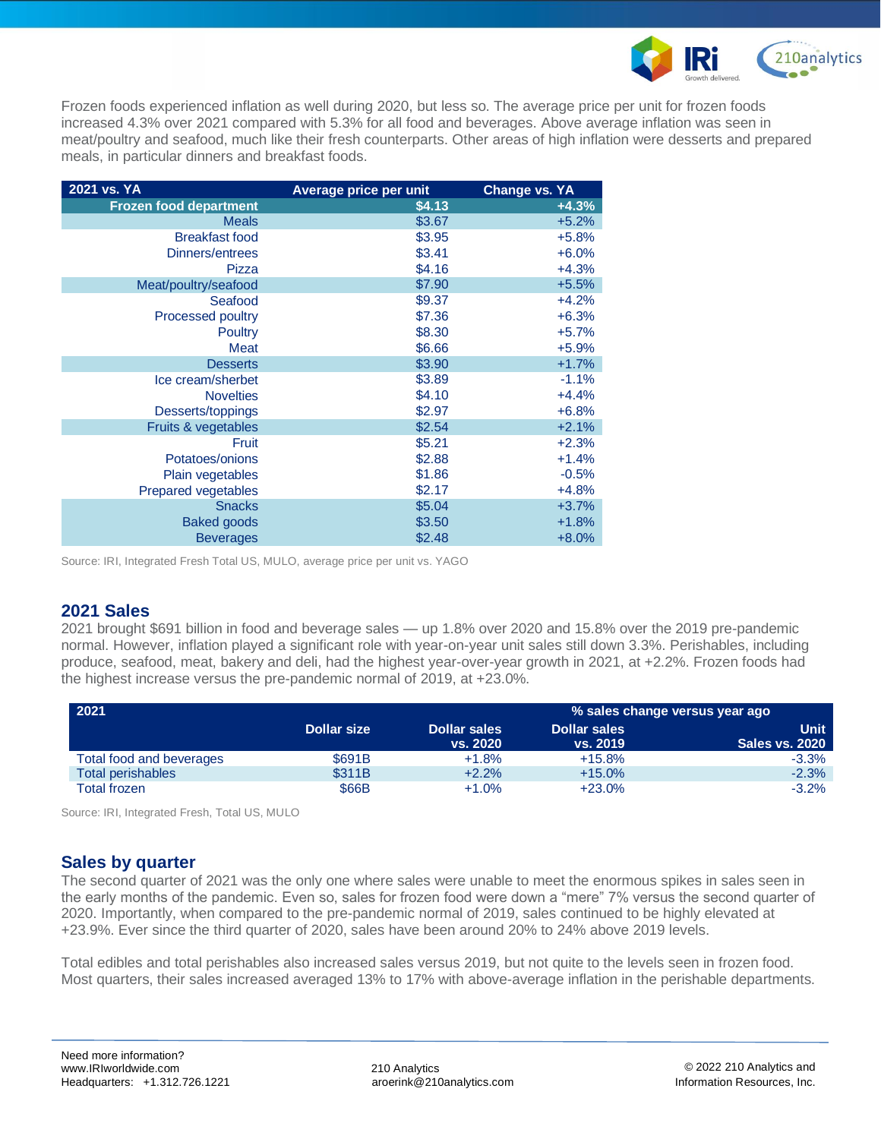

Frozen foods experienced inflation as well during 2020, but less so. The average price per unit for frozen foods increased 4.3% over 2021 compared with 5.3% for all food and beverages. Above average inflation was seen in meat/poultry and seafood, much like their fresh counterparts. Other areas of high inflation were desserts and prepared meals, in particular dinners and breakfast foods.

| 2021 vs. YA                   | Average price per unit | <b>Change vs. YA</b> |
|-------------------------------|------------------------|----------------------|
| <b>Frozen food department</b> | \$4.13                 | $+4.3%$              |
| <b>Meals</b>                  | \$3.67                 | $+5.2%$              |
| <b>Breakfast food</b>         | \$3.95                 | $+5.8%$              |
| Dinners/entrees               | \$3.41                 | $+6.0%$              |
| Pizza                         | \$4.16                 | $+4.3%$              |
| Meat/poultry/seafood          | \$7.90                 | $+5.5%$              |
| Seafood                       | \$9.37                 | $+4.2%$              |
| <b>Processed poultry</b>      | \$7.36                 | $+6.3%$              |
| <b>Poultry</b>                | \$8.30                 | $+5.7%$              |
| <b>Meat</b>                   | \$6.66                 | $+5.9%$              |
| <b>Desserts</b>               | \$3.90                 | $+1.7%$              |
| Ice cream/sherbet             | \$3.89                 | $-1.1%$              |
| <b>Novelties</b>              | \$4.10                 | $+4.4%$              |
| Desserts/toppings             | \$2.97                 | $+6.8%$              |
| Fruits & vegetables           | \$2.54                 | $+2.1%$              |
| Fruit                         | \$5.21                 | $+2.3%$              |
| Potatoes/onions               | \$2.88                 | $+1.4%$              |
| Plain vegetables              | \$1.86                 | $-0.5%$              |
| <b>Prepared vegetables</b>    | \$2.17                 | $+4.8%$              |
| <b>Snacks</b>                 | \$5.04                 | $+3.7%$              |
| <b>Baked goods</b>            | \$3.50                 | $+1.8%$              |
| <b>Beverages</b>              | \$2.48                 | $+8.0%$              |

Source: IRI, Integrated Fresh Total US, MULO, average price per unit vs. YAGO

## **2021 Sales**

2021 brought \$691 billion in food and beverage sales — up 1.8% over 2020 and 15.8% over the 2019 pre-pandemic normal. However, inflation played a significant role with year-on-year unit sales still down 3.3%. Perishables, including produce, seafood, meat, bakery and deli, had the highest year-over-year growth in 2021, at +2.2%. Frozen foods had the highest increase versus the pre-pandemic normal of 2019, at +23.0%.

| 2021                     |                    | % sales change versus year ago |                     |                       |  |  |
|--------------------------|--------------------|--------------------------------|---------------------|-----------------------|--|--|
|                          | <b>Dollar size</b> | <b>Dollar sales</b>            | <b>Dollar sales</b> | Unit .                |  |  |
|                          |                    | vs. 2020                       | vs. 2019            | <b>Sales vs. 2020</b> |  |  |
| Total food and beverages | \$691B             | $+1.8%$                        | $+15.8%$            | $-3.3%$               |  |  |
| <b>Total perishables</b> | \$311B             | $+2.2%$                        | $+15.0%$            | $-2.3%$               |  |  |
| Total frozen             | \$66B              | $+1.0%$                        | $+23.0%$            | $-3.2%$               |  |  |

Source: IRI, Integrated Fresh, Total US, MULO

## **Sales by quarter**

The second quarter of 2021 was the only one where sales were unable to meet the enormous spikes in sales seen in the early months of the pandemic. Even so, sales for frozen food were down a "mere" 7% versus the second quarter of 2020. Importantly, when compared to the pre-pandemic normal of 2019, sales continued to be highly elevated at +23.9%. Ever since the third quarter of 2020, sales have been around 20% to 24% above 2019 levels.

Total edibles and total perishables also increased sales versus 2019, but not quite to the levels seen in frozen food. Most quarters, their sales increased averaged 13% to 17% with above-average inflation in the perishable departments.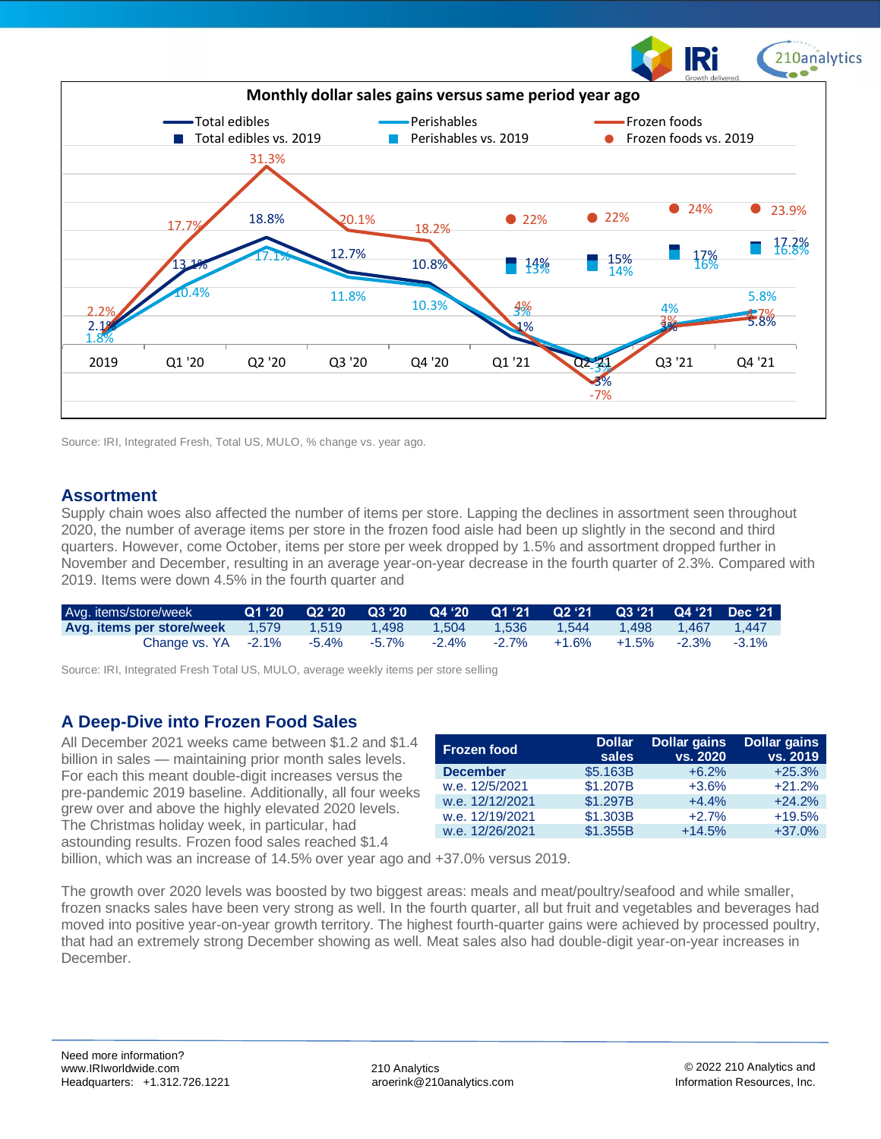

Source: IRI, Integrated Fresh, Total US, MULO, % change vs. year ago.

#### **Assortment**

Supply chain woes also affected the number of items per store. Lapping the declines in assortment seen throughout 2020, the number of average items per store in the frozen food aisle had been up slightly in the second and third quarters. However, come October, items per store per week dropped by 1.5% and assortment dropped further in November and December, resulting in an average year-on-year decrease in the fourth quarter of 2.3%. Compared with 2019. Items were down 4.5% in the fourth quarter and

| Avg. items/store/week           |  |             |          |          | 01 '20 02 '20 03 '20 04 '20 01 '21 02 '21 03 '2 <u>1 04 '21 Dec '21 '</u> |                            |  |
|---------------------------------|--|-------------|----------|----------|---------------------------------------------------------------------------|----------------------------|--|
| Avg. items per store/week 1.579 |  |             | 1.504    | 1.536    | 1.544                                                                     |                            |  |
| Change vs. $YA -2.1\%$          |  | -5.4% -5.7% | $-2.4\%$ | $-2.7\%$ | +1.6%                                                                     | $+1.5\%$ $-2.3\%$ $-3.1\%$ |  |

Source: IRI, Integrated Fresh Total US, MULO, average weekly items per store selling

## **A Deep-Dive into Frozen Food Sales**

All December 2021 weeks came between \$1.2 and \$1.4 billion in sales — maintaining prior month sales levels. For each this meant double-digit increases versus the pre-pandemic 2019 baseline. Additionally, all four weeks grew over and above the highly elevated 2020 levels. The Christmas holiday week, in particular, had astounding results. Frozen food sales reached \$1.4

| <b>Frozen food</b> | <b>Dollar</b><br>sales | <b>Dollar gains</b><br>vs. 2020 | <b>Dollar gains</b><br>vs. 2019 |
|--------------------|------------------------|---------------------------------|---------------------------------|
| <b>December</b>    | \$5.163B               | $+6.2%$                         | $+25.3%$                        |
| w.e. 12/5/2021     | \$1.207B               | $+3.6%$                         | $+21.2%$                        |
| w.e. 12/12/2021    | \$1.297B               | $+4.4%$                         | $+24.2%$                        |
| w.e. 12/19/2021    | \$1,303B               | $+2.7%$                         | $+19.5%$                        |
| w.e. 12/26/2021    | \$1,355B               | $+14.5%$                        | $+37.0%$                        |

billion, which was an increase of 14.5% over year ago and +37.0% versus 2019.

The growth over 2020 levels was boosted by two biggest areas: meals and meat/poultry/seafood and while smaller, frozen snacks sales have been very strong as well. In the fourth quarter, all but fruit and vegetables and beverages had moved into positive year-on-year growth territory. The highest fourth-quarter gains were achieved by processed poultry, that had an extremely strong December showing as well. Meat sales also had double-digit year-on-year increases in December.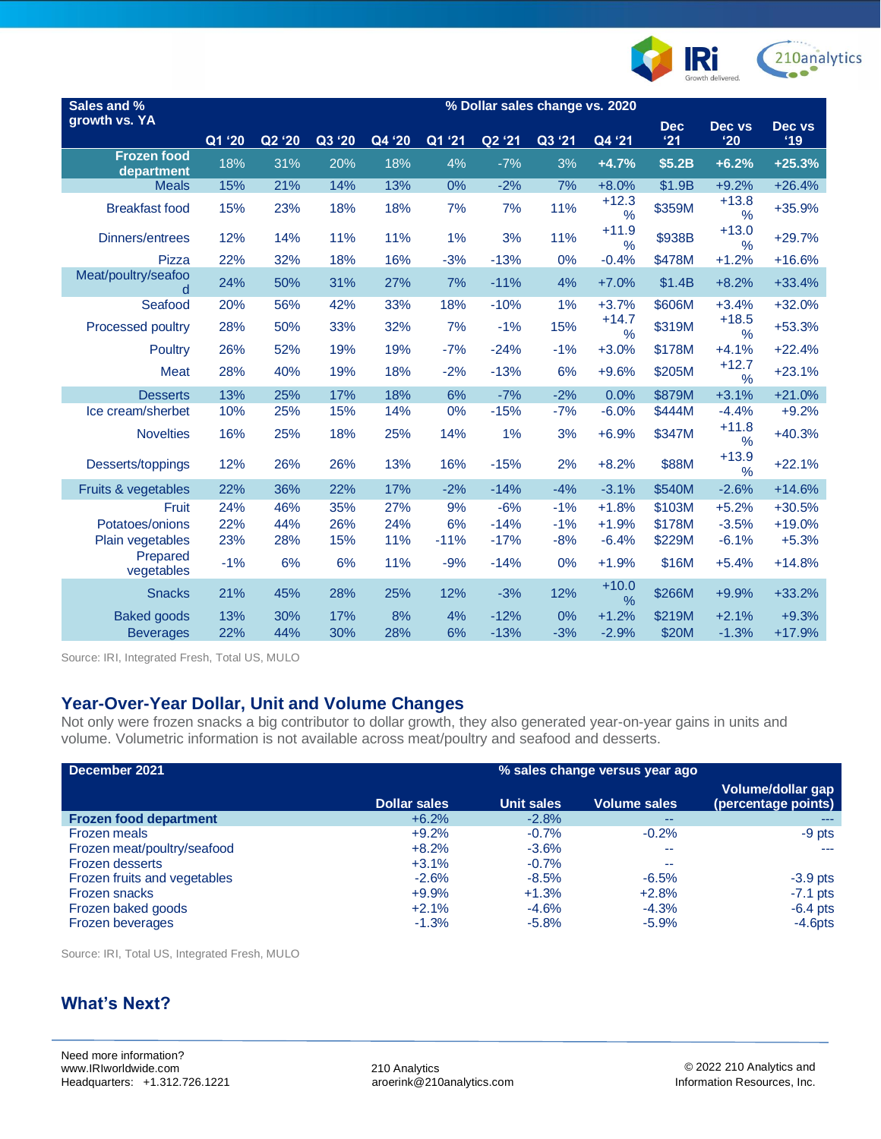

| Sales and %<br>growth vs. YA     | % Dollar sales change vs. 2020 |        |        |        |        |        |        |                          |                   |                          |               |
|----------------------------------|--------------------------------|--------|--------|--------|--------|--------|--------|--------------------------|-------------------|--------------------------|---------------|
|                                  | Q1 '20                         | Q2 '20 | Q3 '20 | Q4 '20 | Q1 '21 | Q2 '21 | Q3 '21 | Q4 '21                   | <b>Dec</b><br>'21 | Dec vs<br>'20            | Dec vs<br>'19 |
| <b>Frozen food</b><br>department | 18%                            | 31%    | 20%    | 18%    | 4%     | $-7%$  | 3%     | $+4.7%$                  | \$5.2B            | $+6.2%$                  | $+25.3%$      |
| <b>Meals</b>                     | 15%                            | 21%    | 14%    | 13%    | 0%     | $-2%$  | 7%     | $+8.0%$                  | \$1.9B            | $+9.2%$                  | $+26.4%$      |
| <b>Breakfast food</b>            | 15%                            | 23%    | 18%    | 18%    | 7%     | 7%     | 11%    | $+12.3$<br>%             | \$359M            | $+13.8$<br>$\frac{9}{6}$ | +35.9%        |
| Dinners/entrees                  | 12%                            | 14%    | 11%    | 11%    | 1%     | 3%     | 11%    | $+11.9$<br>%             | \$938B            | $+13.0$<br>$\%$          | $+29.7%$      |
| <b>Pizza</b>                     | 22%                            | 32%    | 18%    | 16%    | $-3%$  | $-13%$ | 0%     | $-0.4%$                  | \$478M            | $+1.2%$                  | $+16.6%$      |
| Meat/poultry/seafoo<br>d         | 24%                            | 50%    | 31%    | 27%    | 7%     | $-11%$ | 4%     | $+7.0%$                  | \$1.4B            | $+8.2%$                  | $+33.4%$      |
| Seafood                          | 20%                            | 56%    | 42%    | 33%    | 18%    | $-10%$ | 1%     | $+3.7%$                  | \$606M            | $+3.4%$                  | $+32.0%$      |
| <b>Processed poultry</b>         | 28%                            | 50%    | 33%    | 32%    | 7%     | $-1%$  | 15%    | $+14.7$<br>$\frac{0}{0}$ | \$319M            | $+18.5$<br>$\%$          | $+53.3%$      |
| Poultry                          | 26%                            | 52%    | 19%    | 19%    | $-7%$  | $-24%$ | $-1%$  | $+3.0%$                  | \$178M            | $+4.1%$                  | $+22.4%$      |
| Meat                             | 28%                            | 40%    | 19%    | 18%    | $-2%$  | $-13%$ | 6%     | $+9.6%$                  | \$205M            | $+12.7$<br>$\%$          | $+23.1%$      |
| <b>Desserts</b>                  | 13%                            | 25%    | 17%    | 18%    | 6%     | $-7%$  | $-2%$  | 0.0%                     | \$879M            | $+3.1%$                  | $+21.0%$      |
| Ice cream/sherbet                | 10%                            | 25%    | 15%    | 14%    | 0%     | $-15%$ | $-7%$  | $-6.0%$                  | \$444M            | $-4.4%$                  | $+9.2%$       |
| <b>Novelties</b>                 | 16%                            | 25%    | 18%    | 25%    | 14%    | 1%     | 3%     | $+6.9%$                  | \$347M            | $+11.8$<br>%             | $+40.3%$      |
| Desserts/toppings                | 12%                            | 26%    | 26%    | 13%    | 16%    | $-15%$ | 2%     | $+8.2%$                  | \$88M             | $+13.9$<br>%             | $+22.1%$      |
| Fruits & vegetables              | 22%                            | 36%    | 22%    | 17%    | $-2%$  | $-14%$ | $-4%$  | $-3.1%$                  | \$540M            | $-2.6%$                  | $+14.6%$      |
| Fruit                            | 24%                            | 46%    | 35%    | 27%    | 9%     | $-6%$  | $-1%$  | $+1.8%$                  | \$103M            | $+5.2%$                  | $+30.5%$      |
| Potatoes/onions                  | 22%                            | 44%    | 26%    | 24%    | 6%     | $-14%$ | $-1%$  | $+1.9%$                  | \$178M            | $-3.5%$                  | $+19.0%$      |
| Plain vegetables                 | 23%                            | 28%    | 15%    | 11%    | $-11%$ | $-17%$ | $-8%$  | $-6.4%$                  | \$229M            | $-6.1%$                  | $+5.3%$       |
| Prepared<br>vegetables           | $-1%$                          | 6%     | 6%     | 11%    | $-9%$  | $-14%$ | 0%     | $+1.9%$                  | \$16M             | $+5.4%$                  | $+14.8%$      |
| <b>Snacks</b>                    | 21%                            | 45%    | 28%    | 25%    | 12%    | $-3%$  | 12%    | $+10.0$<br>%             | \$266M            | $+9.9%$                  | $+33.2%$      |
| <b>Baked goods</b>               | 13%                            | 30%    | 17%    | 8%     | 4%     | $-12%$ | 0%     | $+1.2%$                  | \$219M            | $+2.1%$                  | $+9.3%$       |
| <b>Beverages</b>                 | 22%                            | 44%    | 30%    | 28%    | 6%     | $-13%$ | $-3%$  | $-2.9%$                  | \$20M             | $-1.3%$                  | $+17.9%$      |

Source: IRI, Integrated Fresh, Total US, MULO

## **Year-Over-Year Dollar, Unit and Volume Changes**

Not only were frozen snacks a big contributor to dollar growth, they also generated year-on-year gains in units and volume. Volumetric information is not available across meat/poultry and seafood and desserts.

| December 2021                 | % sales change versus year ago |            |                     |                                          |  |  |  |
|-------------------------------|--------------------------------|------------|---------------------|------------------------------------------|--|--|--|
|                               | <b>Dollar sales</b>            | Unit sales | <b>Volume sales</b> | Volume/dollar gap<br>(percentage points) |  |  |  |
| <b>Frozen food department</b> | $+6.2%$                        | $-2.8%$    | $\sim$ $\sim$       | ---                                      |  |  |  |
| <b>Frozen meals</b>           | $+9.2%$                        | $-0.7%$    | $-0.2%$             | $-9$ pts                                 |  |  |  |
| Frozen meat/poultry/seafood   | $+8.2%$                        | $-3.6%$    | --                  | ---                                      |  |  |  |
| <b>Frozen desserts</b>        | $+3.1%$                        | $-0.7\%$   | $\sim$ $\sim$       |                                          |  |  |  |
| Frozen fruits and vegetables  | $-2.6%$                        | $-8.5%$    | $-6.5%$             | $-3.9$ pts                               |  |  |  |
| <b>Frozen snacks</b>          | $+9.9%$                        | $+1.3%$    | $+2.8%$             | $-7.1$ pts                               |  |  |  |
| Frozen baked goods            | $+2.1%$                        | $-4.6%$    | $-4.3%$             | $-6.4$ pts                               |  |  |  |
| Frozen beverages              | $-1.3%$                        | $-5.8%$    | $-5.9\%$            | $-4.6pts$                                |  |  |  |

Source: IRI, Total US, Integrated Fresh, MULO

## **What's Next?**